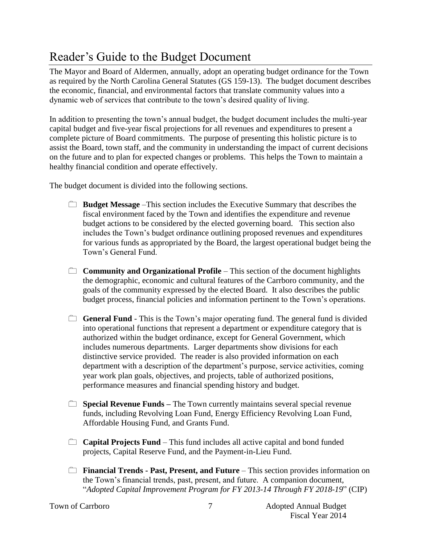## Reader's Guide to the Budget Document

The Mayor and Board of Aldermen, annually, adopt an operating budget ordinance for the Town as required by the North Carolina General Statutes (GS 159-13). The budget document describes the economic, financial, and environmental factors that translate community values into a dynamic web of services that contribute to the town's desired quality of living.

In addition to presenting the town's annual budget, the budget document includes the multi-year capital budget and five-year fiscal projections for all revenues and expenditures to present a complete picture of Board commitments. The purpose of presenting this holistic picture is to assist the Board, town staff, and the community in understanding the impact of current decisions on the future and to plan for expected changes or problems. This helps the Town to maintain a healthy financial condition and operate effectively.

The budget document is divided into the following sections.

- **Budget Message** –This section includes the Executive Summary that describes the fiscal environment faced by the Town and identifies the expenditure and revenue budget actions to be considered by the elected governing board. This section also includes the Town's budget ordinance outlining proposed revenues and expenditures for various funds as appropriated by the Board, the largest operational budget being the Town's General Fund.
- **Community and Organizational Profile** This section of the document highlights the demographic, economic and cultural features of the Carrboro community, and the goals of the community expressed by the elected Board. It also describes the public budget process, financial policies and information pertinent to the Town's operations.
- **General Fund** This is the Town's major operating fund. The general fund is divided into operational functions that represent a department or expenditure category that is authorized within the budget ordinance, except for General Government, which includes numerous departments. Larger departments show divisions for each distinctive service provided. The reader is also provided information on each department with a description of the department's purpose, service activities, coming year work plan goals, objectives, and projects, table of authorized positions, performance measures and financial spending history and budget.
- **Special Revenue Funds** The Town currently maintains several special revenue funds, including Revolving Loan Fund, Energy Efficiency Revolving Loan Fund, Affordable Housing Fund, and Grants Fund.
- **Capital Projects Fund** This fund includes all active capital and bond funded projects, Capital Reserve Fund, and the Payment-in-Lieu Fund.
- **Financial Trends Past, Present, and Future** This section provides information on the Town's financial trends, past, present, and future. A companion document, "*Adopted Capital Improvement Program for FY 2013-14 Through FY 2018-19*" (CIP)